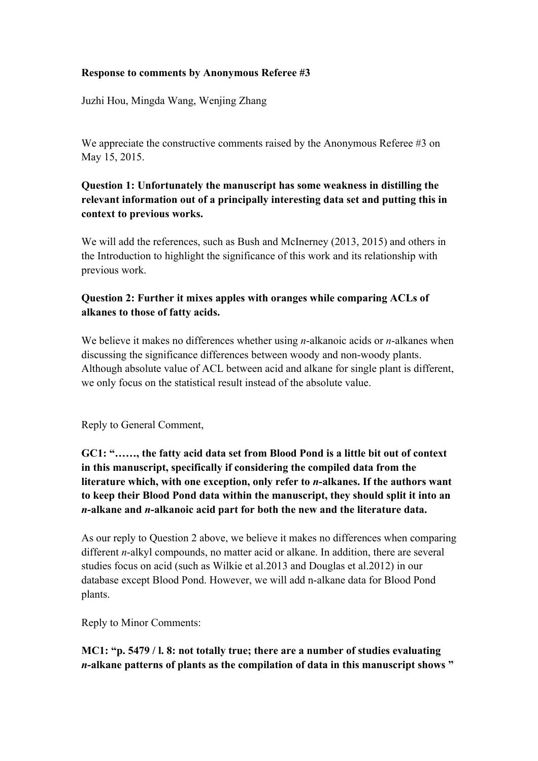#### **Response to comments by Anonymous Referee #3**

Juzhi Hou, Mingda Wang, Wenjing Zhang

We appreciate the constructive comments raised by the Anonymous Referee #3 on May 15, 2015.

# **Question 1: Unfortunately the manuscript has some weakness in distilling the relevant information out of a principally interesting data set and putting this in context to previous works.**

We will add the references, such as Bush and McInerney (2013, 2015) and others in the Introduction to highlight the significance of this work and its relationship with previous work.

## **Question 2: Further it mixes apples with oranges while comparing ACLs of alkanes to those of fatty acids.**

We believe it makes no differences whether using *n*-alkanoic acids or *n*-alkanes when discussing the significance differences between woody and non-woody plants. Although absolute value of ACL between acid and alkane for single plant is different, we only focus on the statistical result instead of the absolute value.

Reply to General Comment,

# **GC1: "……, the fatty acid data set from Blood Pond is a little bit out of context in this manuscript, specifically if considering the compiled data from the literature which, with one exception, only refer to** *n***-alkanes. If the authors want to keep their Blood Pond data within the manuscript, they should split it into an**  *n***-alkane and** *n***-alkanoic acid part for both the new and the literature data.**

As our reply to Question 2 above, we believe it makes no differences when comparing different *n*-alkyl compounds, no matter acid or alkane. In addition, there are several studies focus on acid (such as Wilkie et al.2013 and Douglas et al.2012) in our database except Blood Pond. However, we will add n-alkane data for Blood Pond plants.

Reply to Minor Comments:

### **MC1: "p. 5479 / l. 8: not totally true; there are a number of studies evaluating**  *n***-alkane patterns of plants as the compilation of data in this manuscript shows "**